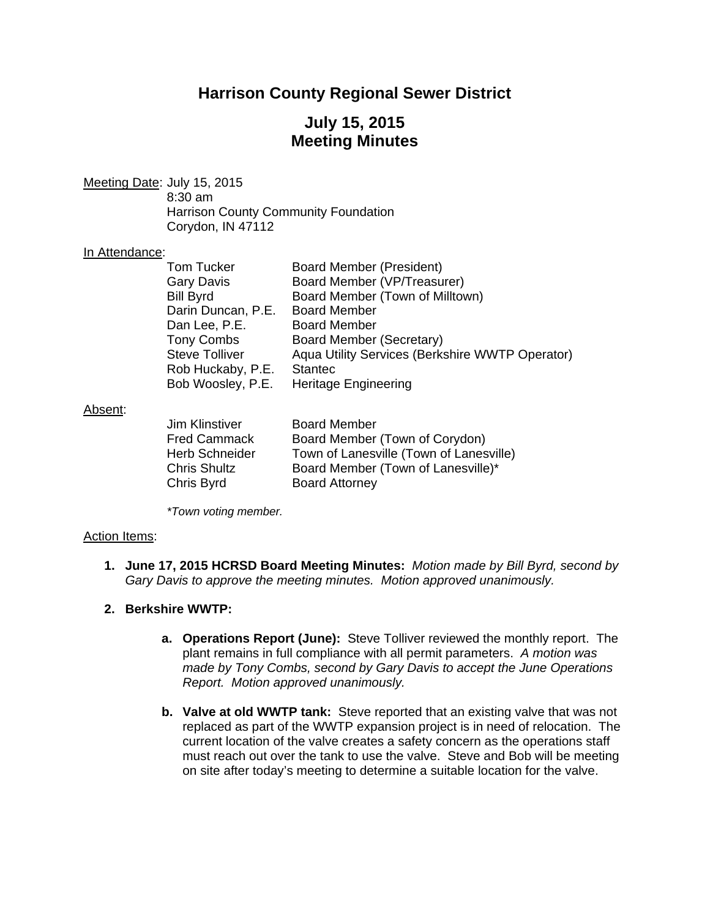## **Harrison County Regional Sewer District**

## **July 15, 2015 Meeting Minutes**

Meeting Date: July 15, 2015 8:30 am Harrison County Community Foundation Corydon, IN 47112

#### In Attendance:

| Tom Tucker            | Board Member (President)                        |
|-----------------------|-------------------------------------------------|
| <b>Gary Davis</b>     | Board Member (VP/Treasurer)                     |
| <b>Bill Byrd</b>      | Board Member (Town of Milltown)                 |
| Darin Duncan, P.E.    | <b>Board Member</b>                             |
| Dan Lee, P.E.         | <b>Board Member</b>                             |
| <b>Tony Combs</b>     | Board Member (Secretary)                        |
| <b>Steve Tolliver</b> | Aqua Utility Services (Berkshire WWTP Operator) |
| Rob Huckaby, P.E.     | <b>Stantec</b>                                  |
| Bob Woosley, P.E.     | <b>Heritage Engineering</b>                     |

#### Absent:

| Jim Klinstiver | <b>Board Member</b>                     |
|----------------|-----------------------------------------|
| Fred Cammack   | Board Member (Town of Corydon)          |
| Herb Schneider | Town of Lanesville (Town of Lanesville) |
| Chris Shultz   | Board Member (Town of Lanesville)*      |
| Chris Byrd     | <b>Board Attorney</b>                   |

 *\*Town voting member.* 

#### Action Items:

- **1. June 17, 2015 HCRSD Board Meeting Minutes:** *Motion made by Bill Byrd, second by Gary Davis to approve the meeting minutes. Motion approved unanimously.*
- **2. Berkshire WWTP:**
	- **a. Operations Report (June):** Steve Tolliver reviewed the monthly report. The plant remains in full compliance with all permit parameters. *A motion was made by Tony Combs, second by Gary Davis to accept the June Operations Report. Motion approved unanimously.*
	- **b. Valve at old WWTP tank:** Steve reported that an existing valve that was not replaced as part of the WWTP expansion project is in need of relocation. The current location of the valve creates a safety concern as the operations staff must reach out over the tank to use the valve. Steve and Bob will be meeting on site after today's meeting to determine a suitable location for the valve.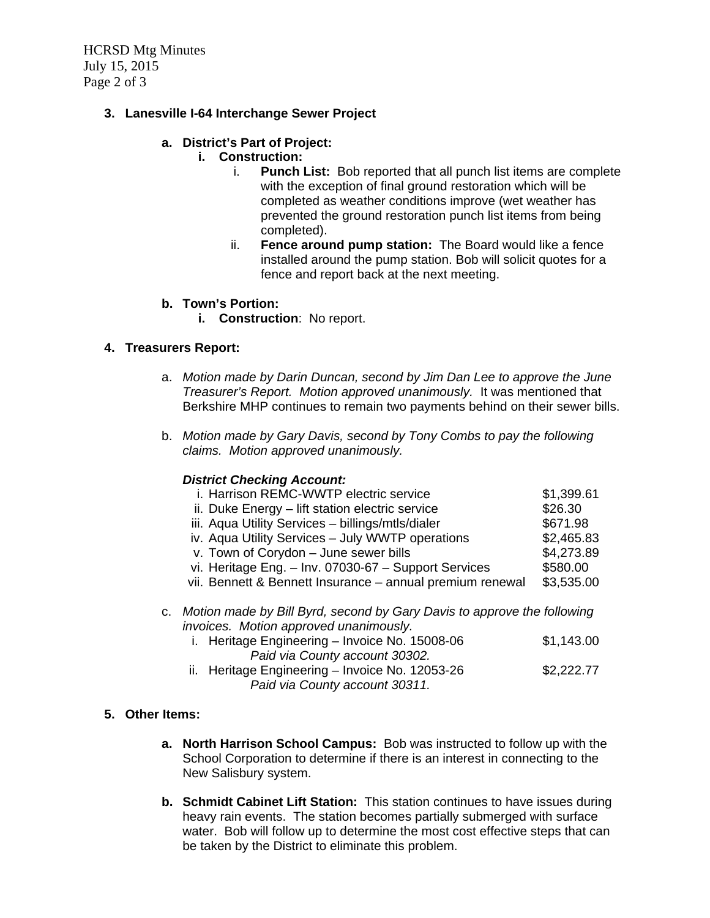HCRSD Mtg Minutes July 15, 2015 Page 2 of 3

### **3. Lanesville I-64 Interchange Sewer Project**

### **a. District's Part of Project:**

### **i. Construction:**

- i. **Punch List:** Bob reported that all punch list items are complete with the exception of final ground restoration which will be completed as weather conditions improve (wet weather has prevented the ground restoration punch list items from being completed).
- ii. **Fence around pump station:** The Board would like a fence installed around the pump station. Bob will solicit quotes for a fence and report back at the next meeting.

### **b. Town's Portion:**

**i. Construction**: No report.

### **4. Treasurers Report:**

- a. *Motion made by Darin Duncan, second by Jim Dan Lee to approve the June Treasurer's Report. Motion approved unanimously.* It was mentioned that Berkshire MHP continues to remain two payments behind on their sewer bills.
- b. *Motion made by Gary Davis, second by Tony Combs to pay the following claims. Motion approved unanimously.*

### *District Checking Account:*

| i. Harrison REMC-WWTP electric service                                                                              | \$1,399.61 |
|---------------------------------------------------------------------------------------------------------------------|------------|
| ii. Duke Energy - lift station electric service                                                                     | \$26.30    |
| iii. Aqua Utility Services - billings/mtls/dialer                                                                   | \$671.98   |
| iv. Aqua Utility Services - July WWTP operations                                                                    | \$2,465.83 |
| v. Town of Corydon - June sewer bills                                                                               | \$4,273.89 |
| vi. Heritage Eng. - Inv. 07030-67 - Support Services                                                                | \$580.00   |
| vii. Bennett & Bennett Insurance - annual premium renewal                                                           | \$3,535.00 |
| c. Motion made by Bill Byrd, second by Gary Davis to approve the following<br>invoices Metier ennuavad vaarineevalv |            |

- *invoices. Motion approved unanimously.* 
	- i. Heritage Engineering Invoice No.  $15008-06$  \$1,143.00  *Paid via County account 30302.*  ii. Heritage Engineering – Invoice No. 12053-26  $$2,222.77$ 
		- *Paid via County account 30311.*

### **5. Other Items:**

- **a. North Harrison School Campus:** Bob was instructed to follow up with the School Corporation to determine if there is an interest in connecting to the New Salisbury system.
- **b. Schmidt Cabinet Lift Station:** This station continues to have issues during heavy rain events. The station becomes partially submerged with surface water. Bob will follow up to determine the most cost effective steps that can be taken by the District to eliminate this problem.